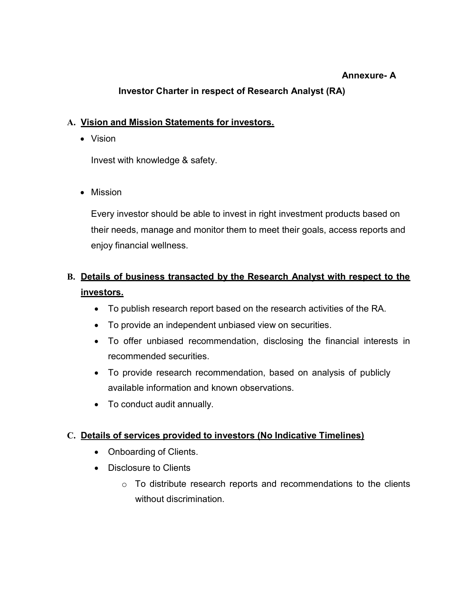## Annexure- A

# Investor Charter in respect of Research Analyst (RA)

## A. Vision and Mission Statements for investors.

Vision

Invest with knowledge & safety.

• Mission

Every investor should be able to invest in right investment products based on their needs, manage and monitor them to meet their goals, access reports and enjoy financial wellness.

# B. Details of business transacted by the Research Analyst with respect to the investors.

- To publish research report based on the research activities of the RA.
- To provide an independent unbiased view on securities.
- To offer unbiased recommendation, disclosing the financial interests in recommended securities.
- To provide research recommendation, based on analysis of publicly available information and known observations.
- To conduct audit annually.

# C. Details of services provided to investors (No Indicative Timelines)

- Onboarding of Clients.
- Disclosure to Clients
	- $\circ$  To distribute research reports and recommendations to the clients without discrimination.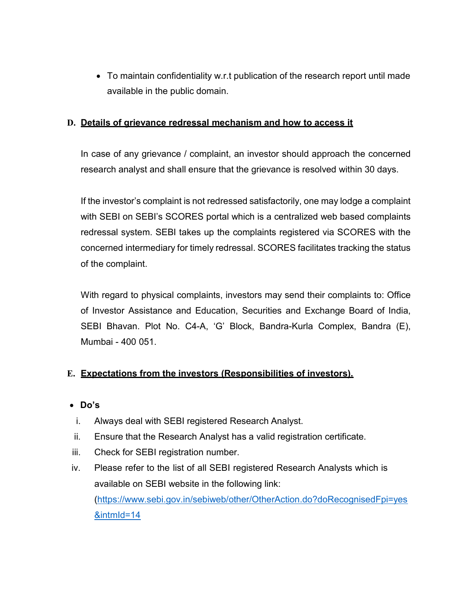To maintain confidentiality w.r.t publication of the research report until made available in the public domain.

#### D. Details of grievance redressal mechanism and how to access it

In case of any grievance / complaint, an investor should approach the concerned research analyst and shall ensure that the grievance is resolved within 30 days.

If the investor's complaint is not redressed satisfactorily, one may lodge a complaint with SEBI on SEBI's SCORES portal which is a centralized web based complaints redressal system. SEBI takes up the complaints registered via SCORES with the concerned intermediary for timely redressal. SCORES facilitates tracking the status of the complaint.

With regard to physical complaints, investors may send their complaints to: Office of Investor Assistance and Education, Securities and Exchange Board of India, SEBI Bhavan. Plot No. C4-A, 'G' Block, Bandra-Kurla Complex, Bandra (E), Mumbai - 400 051.

#### E. Expectations from the investors (Responsibilities of investors).

- Do's
- i. Always deal with SEBI registered Research Analyst.
- ii. Ensure that the Research Analyst has a valid registration certificate.
- iii. Check for SEBI registration number.
- iv. Please refer to the list of all SEBI registered Research Analysts which is available on SEBI website in the following link: (https://www.sebi.gov.in/sebiweb/other/OtherAction.do?doRecognisedFpi=yes &intmId=14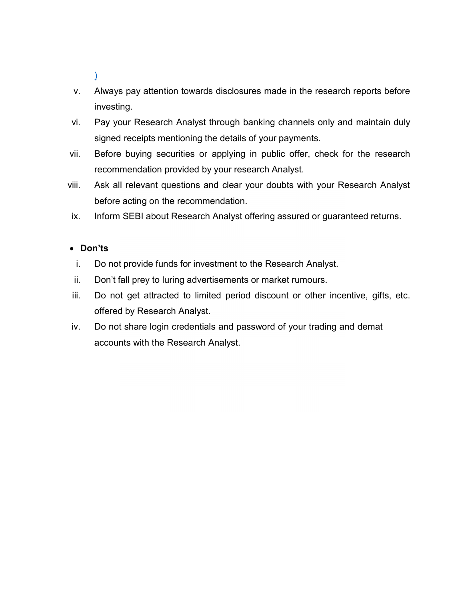) and the contract of  $\mathcal{L}$ 

- v. Always pay attention towards disclosures made in the research reports before investing.
- vi. Pay your Research Analyst through banking channels only and maintain duly signed receipts mentioning the details of your payments.
- vii. Before buying securities or applying in public offer, check for the research recommendation provided by your research Analyst.
- viii. Ask all relevant questions and clear your doubts with your Research Analyst before acting on the recommendation.
- ix. Inform SEBI about Research Analyst offering assured or guaranteed returns.

## Don'ts

- i. Do not provide funds for investment to the Research Analyst.
- ii. Don't fall prey to luring advertisements or market rumours.
- iii. Do not get attracted to limited period discount or other incentive, gifts, etc. offered by Research Analyst.
- iv. Do not share login credentials and password of your trading and demat accounts with the Research Analyst.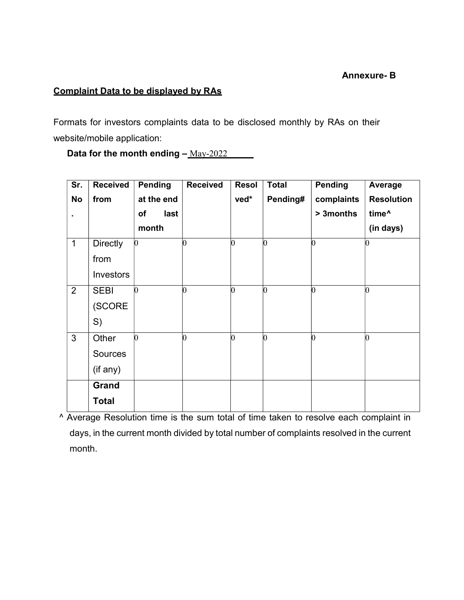#### Annexure- B

# Complaint Data to be displayed by RAs

Formats for investors complaints data to be disclosed monthly by RAs on their website/mobile application:

Data for the month ending  $-\frac{Mav-2022}{}$ 

| Sr.            | <b>Received</b> | <b>Pending</b> | <b>Received</b> | <b>Resol</b>    | <b>Total</b>   | <b>Pending</b> | Average           |
|----------------|-----------------|----------------|-----------------|-----------------|----------------|----------------|-------------------|
| <b>No</b>      | from            | at the end     |                 | ved*            | Pending#       | complaints     | <b>Resolution</b> |
| ٠              |                 | of<br>last     |                 |                 |                | > 3months      | time <sup>^</sup> |
|                |                 | month          |                 |                 |                |                | (in days)         |
| $\mathbf{1}$   | <b>Directly</b> | $\Omega$       | 0               | $\vert 0 \vert$ | 0              | $\mathbf{v}$   | $\vert 0 \vert$   |
|                | from            |                |                 |                 |                |                |                   |
|                | Investors       |                |                 |                 |                |                |                   |
| $\overline{2}$ | <b>SEBI</b>     | 0              | n               | $\vert 0 \vert$ | O)             |                | 0                 |
|                | (SCORE          |                |                 |                 |                |                |                   |
|                | S)              |                |                 |                 |                |                |                   |
| $\mathfrak{S}$ | Other           |                |                 | l0              | $\overline{0}$ | h              | O                 |
|                | Sources         |                |                 |                 |                |                |                   |
|                | (if any)        |                |                 |                 |                |                |                   |
|                | <b>Grand</b>    |                |                 |                 |                |                |                   |
|                | <b>Total</b>    |                |                 |                 |                |                |                   |

^ Average Resolution time is the sum total of time taken to resolve each complaint in days, in the current month divided by total number of complaints resolved in the current month.